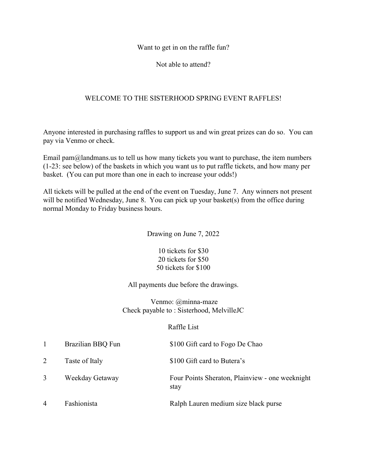Want to get in on the raffle fun?

Not able to attend?

## WELCOME TO THE SISTERHOOD SPRING EVENT RAFFLES!

Anyone interested in purchasing raffles to support us and win great prizes can do so. You can pay via Venmo or check.

Email pam $\omega$  and mans.us to tell us how many tickets you want to purchase, the item numbers (1-23: see below) of the baskets in which you want us to put raffle tickets, and how many per basket. (You can put more than one in each to increase your odds!)

All tickets will be pulled at the end of the event on Tuesday, June 7. Any winners not present will be notified Wednesday, June 8. You can pick up your basket(s) from the office during normal Monday to Friday business hours.

Drawing on June 7, 2022

10 tickets for \$30 20 tickets for \$50 50 tickets for \$100

All payments due before the drawings.

 Venmo: @minna-maze Check payable to : Sisterhood, MelvilleJC

## Raffle List

|                | Brazilian BBQ Fun | \$100 Gift card to Fogo De Chao                         |
|----------------|-------------------|---------------------------------------------------------|
| 2              | Taste of Italy    | \$100 Gift card to Butera's                             |
| 3              | Weekday Getaway   | Four Points Sheraton, Plainview - one weeknight<br>stay |
| $\overline{4}$ | Fashionista       | Ralph Lauren medium size black purse                    |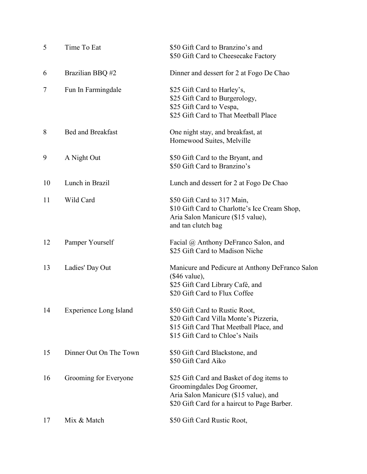| 5  | Time To Eat                   | \$50 Gift Card to Branzino's and<br>\$50 Gift Card to Cheesecake Factory                                                                                         |
|----|-------------------------------|------------------------------------------------------------------------------------------------------------------------------------------------------------------|
| 6  | Brazilian BBQ #2              | Dinner and dessert for 2 at Fogo De Chao                                                                                                                         |
| 7  | Fun In Farmingdale            | \$25 Gift Card to Harley's,<br>\$25 Gift Card to Burgerology,<br>\$25 Gift Card to Vespa,<br>\$25 Gift Card to That Meetball Place                               |
| 8  | <b>Bed and Breakfast</b>      | One night stay, and breakfast, at<br>Homewood Suites, Melville                                                                                                   |
| 9  | A Night Out                   | \$50 Gift Card to the Bryant, and<br>\$50 Gift Card to Branzino's                                                                                                |
| 10 | Lunch in Brazil               | Lunch and dessert for 2 at Fogo De Chao                                                                                                                          |
| 11 | Wild Card                     | \$50 Gift Card to 317 Main,<br>\$10 Gift Card to Charlotte's Ice Cream Shop,<br>Aria Salon Manicure (\$15 value),<br>and tan clutch bag                          |
| 12 | Pamper Yourself               | Facial @ Anthony DeFranco Salon, and<br>\$25 Gift Card to Madison Niche                                                                                          |
| 13 | Ladies' Day Out               | Manicure and Pedicure at Anthony DeFranco Salon<br>$(\$46$ value),<br>\$25 Gift Card Library Café, and<br>\$20 Gift Card to Flux Coffee                          |
| 14 | <b>Experience Long Island</b> | \$50 Gift Card to Rustic Root,<br>\$20 Gift Card Villa Monte's Pizzeria,<br>\$15 Gift Card That Meetball Place, and<br>\$15 Gift Card to Chloe's Nails           |
| 15 | Dinner Out On The Town        | \$50 Gift Card Blackstone, and<br>\$50 Gift Card Aiko                                                                                                            |
| 16 | Grooming for Everyone         | \$25 Gift Card and Basket of dog items to<br>Groomingdales Dog Groomer,<br>Aria Salon Manicure (\$15 value), and<br>\$20 Gift Card for a haircut to Page Barber. |
| 17 | Mix & Match                   | \$50 Gift Card Rustic Root,                                                                                                                                      |